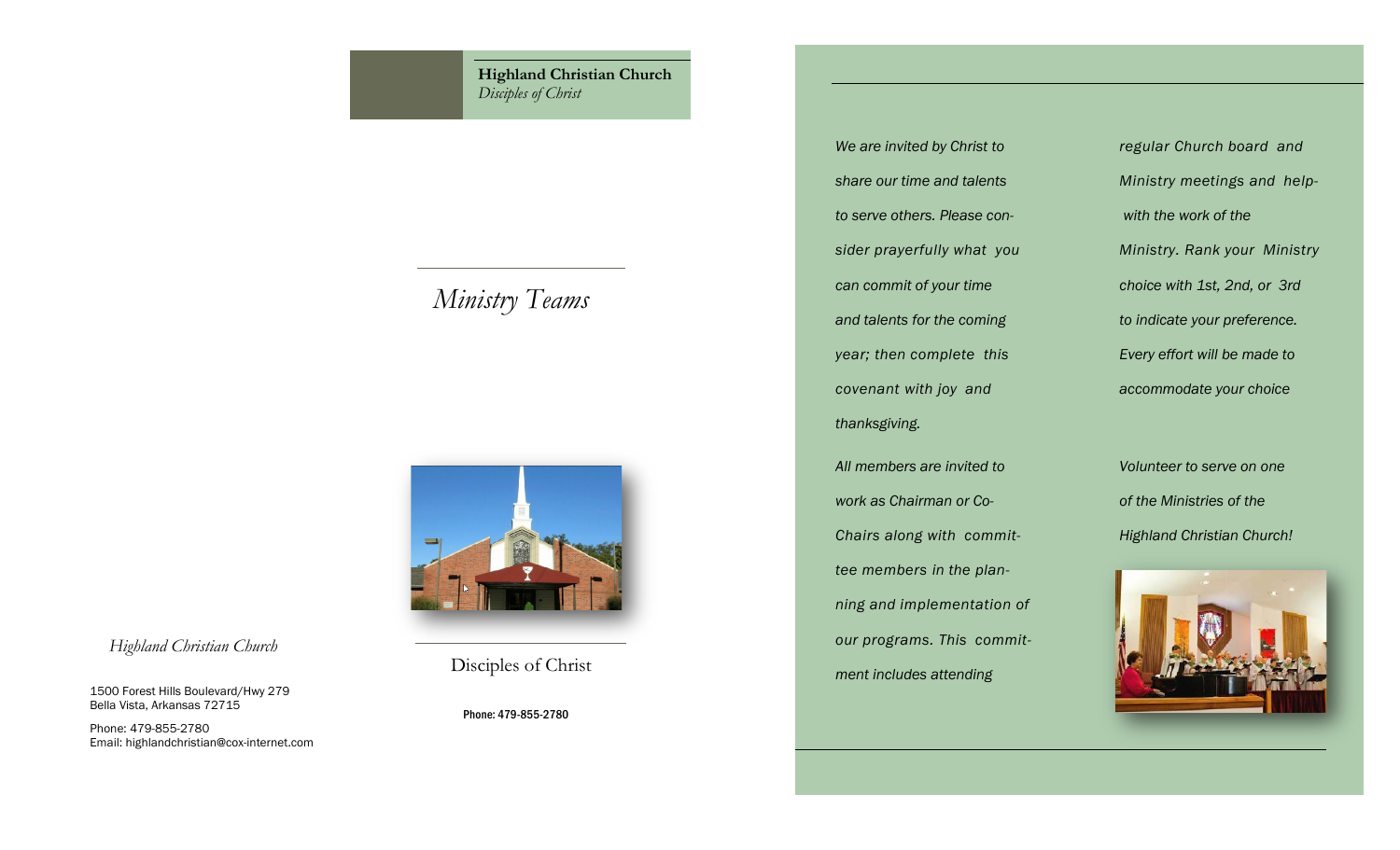**Highland Christian Church** *Disciples of Christ*

# *Ministry Teams*



Disciples of Christ

*Highland Christian Church*

1500 Forest Hills Boulevard/Hwy 279 Bella Vista, Arkansas 72715

Emai[l: highlandchristian@cox-internet.com](mailto:highlandchristian@cox-internet.com)

Phone: 479-855-2780

Phone: 479-855-2780

*to serve others. Please con- with the work of the can commit of your time choice with 1st, 2nd, or 3rd and talents for the coming to indicate your preference. year; then complete this Every effort will be made to covenant with joy and accommodate your choice thanksgiving. All members are invited to Volunteer to serve on one work as Chairman or Co- of the Ministries of the tee members in the plan-*

*Chairs along with commit- Highland Christian Church! ning and implementation of our programs. This commitment includes attending*

*We are invited by Christ to regular Church board and share our time and talents Ministry meetings and helpsider prayerfully what you Ministry. Rank your Ministry*